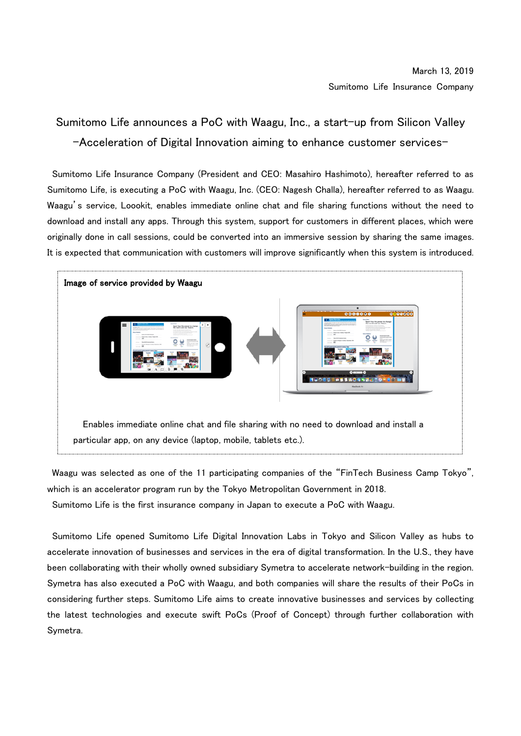## Sumitomo Life announces a PoC with Waagu, Inc., a start-up from Silicon Valley -Acceleration of Digital Innovation aiming to enhance customer services-

Sumitomo Life Insurance Company (President and CEO: Masahiro Hashimoto), hereafter referred to as Sumitomo Life, is executing a PoC with Waagu, Inc. (CEO: Nagesh Challa), hereafter referred to as Waagu. Waagu's service, Loookit, enables immediate online chat and file sharing functions without the need to download and install any apps. Through this system, support for customers in different places, which were originally done in call sessions, could be converted into an immersive session by sharing the same images. It is expected that communication with customers will improve significantly when this system is introduced.



Waagu was selected as one of the 11 participating companies of the "FinTech Business Camp Tokyo", which is an accelerator program run by the Tokyo Metropolitan Government in 2018.

Sumitomo Life is the first insurance company in Japan to execute a PoC with Waagu.

Sumitomo Life opened Sumitomo Life Digital Innovation Labs in Tokyo and Silicon Valley as hubs to accelerate innovation of businesses and services in the era of digital transformation. In the U.S., they have been collaborating with their wholly owned subsidiary Symetra to accelerate network-building in the region. Symetra has also executed a PoC with Waagu, and both companies will share the results of their PoCs in considering further steps. Sumitomo Life aims to create innovative businesses and services by collecting the latest technologies and execute swift PoCs (Proof of Concept) through further collaboration with Symetra.